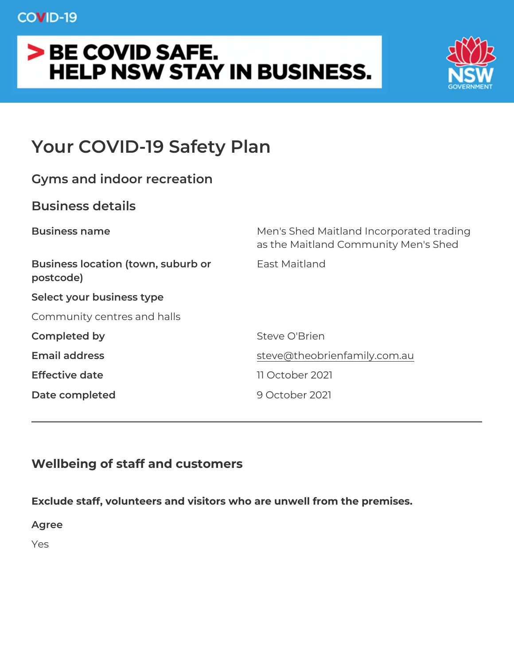# Your COVID-19 Safety Plan

| Gyms and indoor recreation                                |                                                                         |
|-----------------------------------------------------------|-------------------------------------------------------------------------|
| Business details                                          |                                                                         |
| Business name                                             | Men's Shed Maitland Incorporated t<br>as the Maitland Community Men's S |
| Business location (town, suburbEast Maitland<br>postcode) |                                                                         |
| Select your business type                                 |                                                                         |
| Community centres and halls                               |                                                                         |
| Completed by                                              | Steve O'Brien                                                           |
| Email address                                             | steve@theobrienfamily.com.au                                            |
| Effective date                                            | 11 October 2021                                                         |
| Date completed                                            | 9 October 2021                                                          |
|                                                           |                                                                         |

Wellbeing of staff and customers

Exclude staff, volunteers and visitors who are unwell from the prer Agree Yes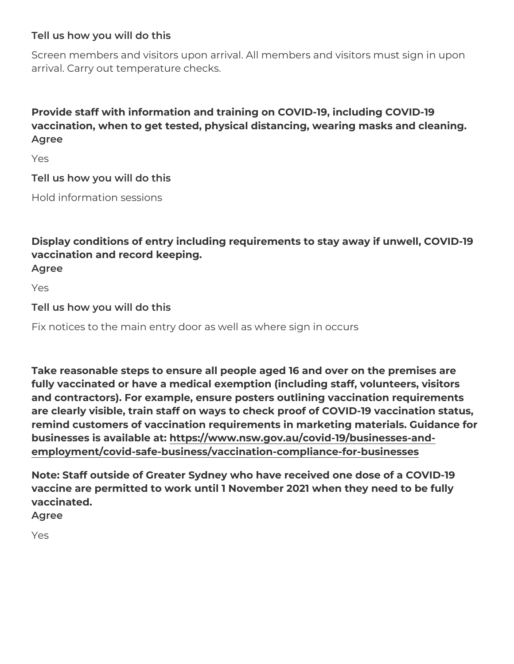Tell us how you will do this

Screen members and visitors upon arrival. All members and visitors arrival. Carry out temperature checks.

Provide staff with information and training on COVID-19, including vaccination, when to get tested, physical distancing, wearing mask Agree

Yes

Tell us how you will do this Hold information sessions

Display conditions of entry including requirements to stay away if vaccination and record keeping. Agree

Yes

Tell us how you will do this

Fix notices to the main entry door as well as where sign in occurs

Take reasonable steps to ensure all people aged 16 and over on th fully vaccinated or have a medical exemption (including staff, volu and contractors). For example, ensure posters outlining vaccinatio are clearly visible, train staff on ways to check proof of COVID-19 remind customers of vaccination requirements in marketing materia businesses is availabt pesa t: www.nsw.gov.au/covid-19/businesses-and[employment/covid-safe-business/vaccination-complian](https://www.nsw.gov.au/covid-19/businesses-and-employment/covid-safe-business/vaccination-compliance-for-businesses)ce-for-busine

Note: Staff outside of Greater Sydney who have received one dose vaccine are permitted to work until 1 November 2021 when they need vaccinated.

Agree

Yes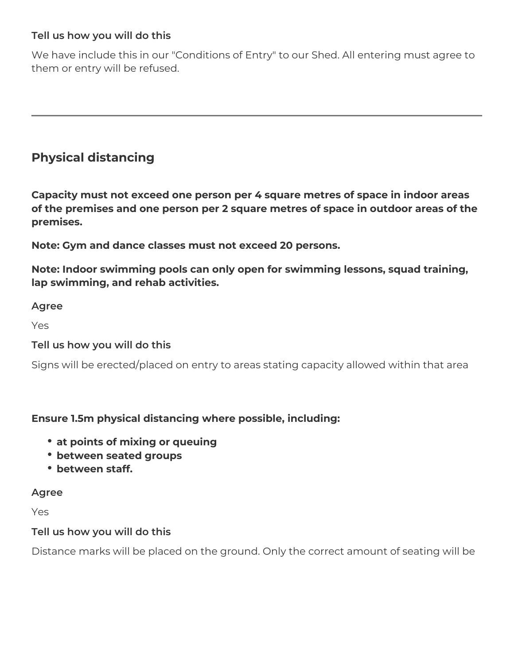#### **Tell us how you will do this**

We have include this in our "Conditions of Entry" to our Shed. All entering must agree to them or entry will be refused.

# **Physical distancing**

**Capacity must not exceed one person per 4 square metres of space in indoor areas of the premises and one person per 2 square metres of space in outdoor areas of the premises.**

**Note: Gym and dance classes must not exceed 20 persons.**

**Note: Indoor swimming pools can only open for swimming lessons, squad training, lap swimming, and rehab activities.**

#### **Agree**

Yes

#### **Tell us how you will do this**

Signs will be erected/placed on entry to areas stating capacity allowed within that area

#### **Ensure 1.5m physical distancing where possible, including:**

- **at points of mixing or queuing**
- **between seated groups**
- **between staff.**

#### **Agree**

Yes

#### **Tell us how you will do this**

Distance marks will be placed on the ground. Only the correct amount of seating will be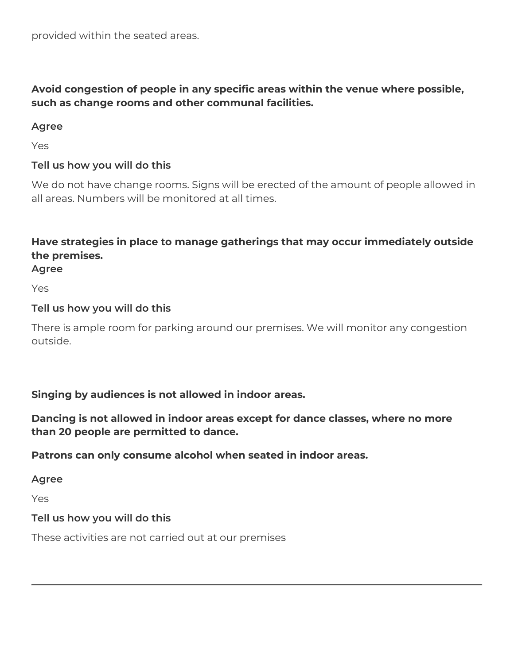# **Avoid congestion of people in any specific areas within the venue where possible, such as change rooms and other communal facilities.**

# **Agree**

Yes

# **Tell us how you will do this**

We do not have change rooms. Signs will be erected of the amount of people allowed in all areas. Numbers will be monitored at all times.

# **Have strategies in place to manage gatherings that may occur immediately outside the premises.**

**Agree**

Yes

# **Tell us how you will do this**

There is ample room for parking around our premises. We will monitor any congestion outside.

# **Singing by audiences is not allowed in indoor areas.**

# **Dancing is not allowed in indoor areas except for dance classes, where no more than 20 people are permitted to dance.**

# **Patrons can only consume alcohol when seated in indoor areas.**

**Agree**

Yes

# **Tell us how you will do this**

These activities are not carried out at our premises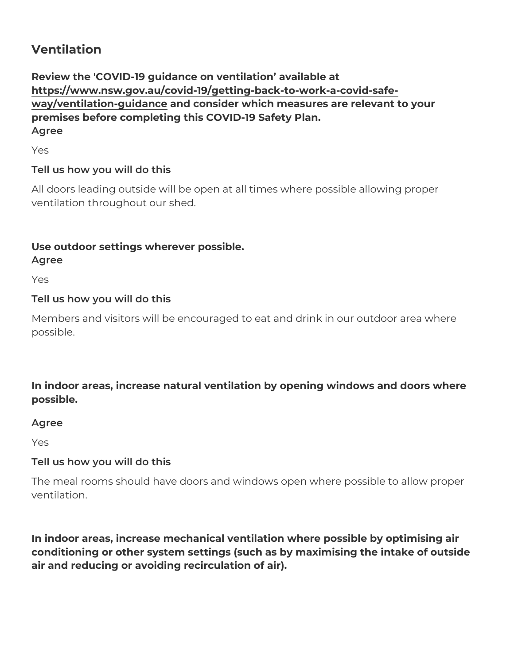Ventilation

Review the 'COVID-19 guidance on ventilation available at [https://www.nsw.gov.au/covid-19/getting-back-to-wo](https://www.nsw.gov.au/covid-19/getting-back-to-work-a-covid-safe-way/ventilation-guidance)rk-a-covid-safe [way/ventilation-gui](https://www.nsw.gov.au/covid-19/getting-back-to-work-a-covid-safe-way/ventilation-guidance)dannde consider which measures are relevant to your premises before completing this COVID-19 Safety Plan. Agree

Yes

Tell us how you will do this

All doors leading outside will be open at all times where possible allowing property ventilation throughout our shed.

Use outdoor settings wherever possible.

Agree

Yes

Tell us how you will do this

Members and visitors will be encouraged to eat and drink in our out possible.

In indoor areas, increase natural ventilation by opening windows a possible.

Agree

Yes

Tell us how you will do this

The meal rooms should have doors and windows open where possib ventilation.

In indoor areas, increase mechanical ventilation where possible by conditioning or other system settings (such as by maximising the in air and reducing or avoiding recirculation of air).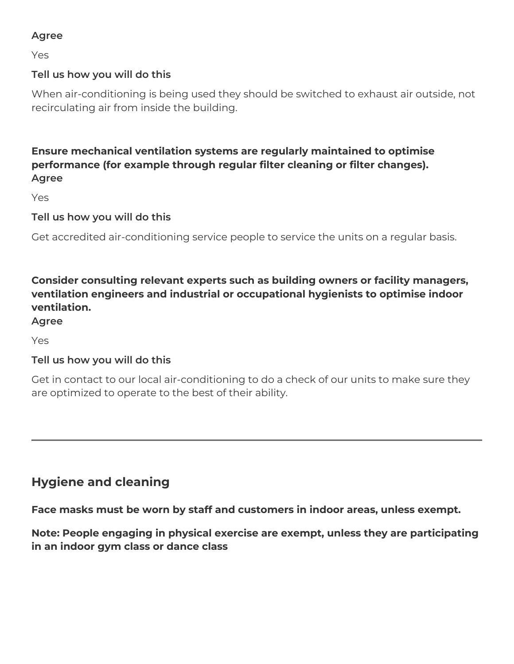# **Agree**

Yes

# **Tell us how you will do this**

When air-conditioning is being used they should be switched to exhaust air outside, not recirculating air from inside the building.

**Ensure mechanical ventilation systems are regularly maintained to optimise performance (for example through regular filter cleaning or filter changes). Agree**

Yes

**Tell us how you will do this**

Get accredited air-conditioning service people to service the units on a regular basis.

**Consider consulting relevant experts such as building owners or facility managers, ventilation engineers and industrial or occupational hygienists to optimise indoor ventilation.**

#### **Agree**

Yes

#### **Tell us how you will do this**

Get in contact to our local air-conditioning to do a check of our units to make sure they are optimized to operate to the best of their ability.

# **Hygiene and cleaning**

**Face masks must be worn by staff and customers in indoor areas, unless exempt.** 

**Note: People engaging in physical exercise are exempt, unless they are participating in an indoor gym class or dance class**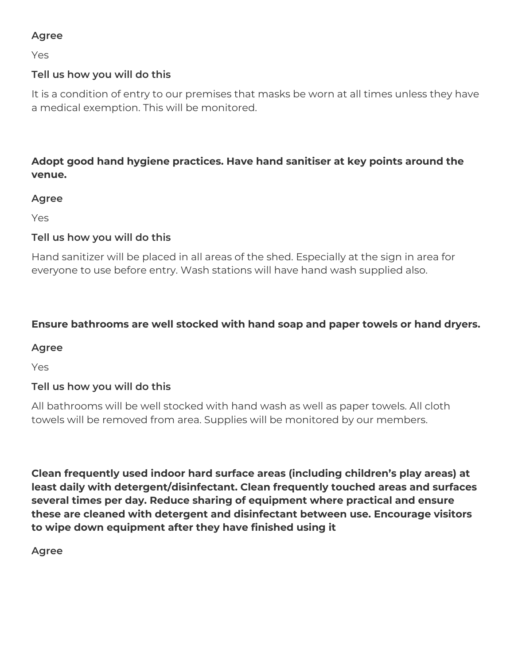# **Agree**

Yes

# **Tell us how you will do this**

It is a condition of entry to our premises that masks be worn at all times unless they have a medical exemption. This will be monitored.

# **Adopt good hand hygiene practices. Have hand sanitiser at key points around the venue.**

#### **Agree**

Yes

# **Tell us how you will do this**

Hand sanitizer will be placed in all areas of the shed. Especially at the sign in area for everyone to use before entry. Wash stations will have hand wash supplied also.

# **Ensure bathrooms are well stocked with hand soap and paper towels or hand dryers.**

#### **Agree**

Yes

# **Tell us how you will do this**

All bathrooms will be well stocked with hand wash as well as paper towels. All cloth towels will be removed from area. Supplies will be monitored by our members.

**Clean frequently used indoor hard surface areas (including children's play areas) at least daily with detergent/disinfectant. Clean frequently touched areas and surfaces several times per day. Reduce sharing of equipment where practical and ensure these are cleaned with detergent and disinfectant between use. Encourage visitors to wipe down equipment after they have finished using it**

**Agree**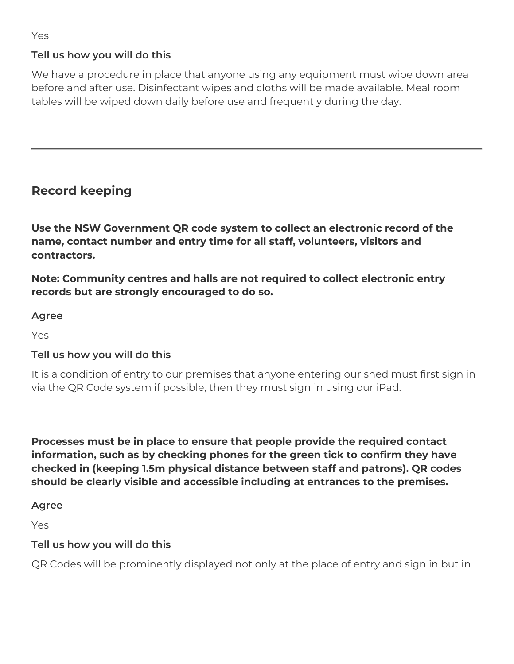# **Tell us how you will do this**

We have a procedure in place that anyone using any equipment must wipe down area before and after use. Disinfectant wipes and cloths will be made available. Meal room tables will be wiped down daily before use and frequently during the day.

# **Record keeping**

**Use the NSW Government QR code system to collect an electronic record of the name, contact number and entry time for all staff, volunteers, visitors and contractors.**

**Note: Community centres and halls are not required to collect electronic entry records but are strongly encouraged to do so.**

#### **Agree**

Yes

# **Tell us how you will do this**

It is a condition of entry to our premises that anyone entering our shed must first sign in via the QR Code system if possible, then they must sign in using our iPad.

**Processes must be in place to ensure that people provide the required contact information, such as by checking phones for the green tick to confirm they have checked in (keeping 1.5m physical distance between staff and patrons). QR codes should be clearly visible and accessible including at entrances to the premises.**

#### **Agree**

Yes

# **Tell us how you will do this**

QR Codes will be prominently displayed not only at the place of entry and sign in but in

Yes